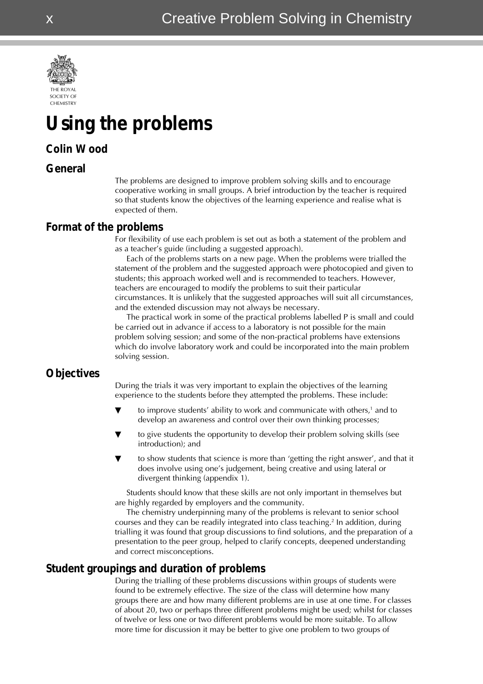

# **Using the problems**

## **Colin W ood**

#### **General**

The problems are designed to improve problem solving skills and to encourage cooperative working in small groups. A brief introduction by the teacher is required so that students know the objectives of the learning experience and realise what is expected of them.

### **Format of the problems**

For flexibility of use each problem is set out as both a statement of the problem and as a teacher's guide (including a suggested approach).

Each of the problems starts on a new page. When the problems were trialled the statement of the problem and the suggested approach were photocopied and given to students; this approach worked well and is recommended to teachers. However, teachers are encouraged to modify the problems to suit their particular circumstances. It is unlikely that the suggested approaches will suit all circumstances, and the extended discussion may not always be necessary.

The practical work in some of the practical problems labelled P is small and could be carried out in advance if access to a laboratory is not possible for the main problem solving session; and some of the non-practical problems have extensions which do involve laboratory work and could be incorporated into the main problem solving session.

## **Objectives**

During the trials it was very important to explain the objectives of the learning experience to the students before they attempted the problems. These include:

- $\blacktriangledown$  to improve students' ability to work and communicate with others,<sup>1</sup> and to develop an awareness and control over their own thinking processes;
- to give students the opportunity to develop their problem solving skills (see introduction); and
- to show students that science is more than 'getting the right answer', and that it does involve using one's judgement, being creative and using lateral or divergent thinking (appendix 1).

Students should know that these skills are not only important in themselves but are highly regarded by employers and the community.

The chemistry underpinning many of the problems is relevant to senior school courses and they can be readily integrated into class teaching.2 In addition, during trialling it was found that group discussions to find solutions, and the preparation of a presentation to the peer group, helped to clarify concepts, deepened understanding and correct misconceptions.

## **Student groupings and duration of problems**

During the trialling of these problems discussions within groups of students were found to be extremely effective. The size of the class will determine how many groups there are and how many different problems are in use at one time. For classes of about 20, two or perhaps three different problems might be used; whilst for classes of twelve or less one or two different problems would be more suitable. To allow more time for discussion it may be better to give one problem to two groups of